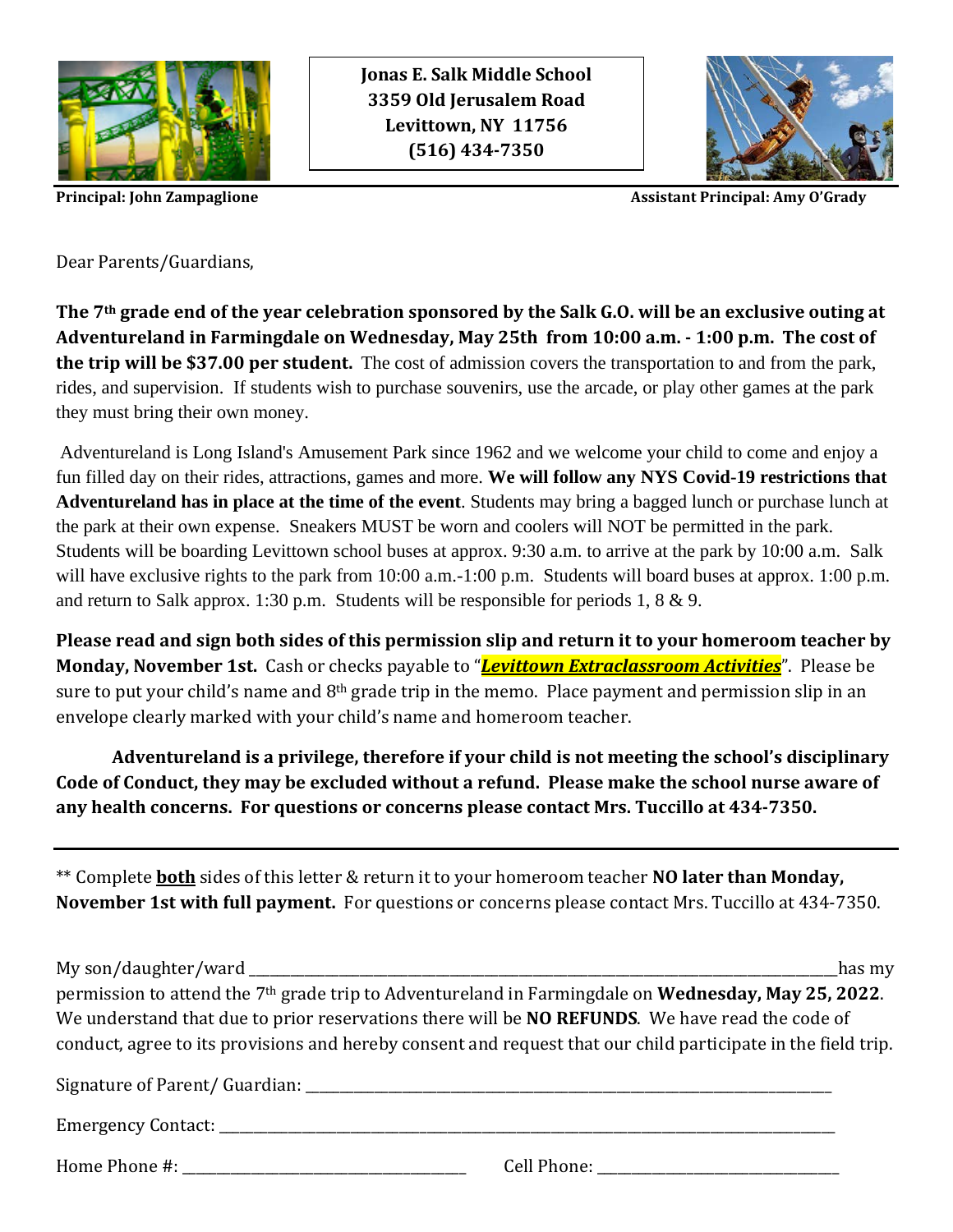

**Jonas E. Salk Middle School 3359 Old Jerusalem Road Levittown, NY 11756 (516) 434-7350**



**Principal: John Zampaglione** Assistant **Principal: Amy O'Grady** 

Dear Parents/Guardians,

**The 7th grade end of the year celebration sponsored by the Salk G.O. will be an exclusive outing at Adventureland in Farmingdale on Wednesday, May 25th from 10:00 a.m. - 1:00 p.m. The cost of the trip will be \$37.00 per student.** The cost of admission covers the transportation to and from the park, rides, and supervision. If students wish to purchase souvenirs, use the arcade, or play other games at the park they must bring their own money.

Adventureland is Long Island's Amusement Park since 1962 and we welcome your child to come and enjoy a fun filled day on their rides, attractions, games and more. **We will follow any NYS Covid-19 restrictions that Adventureland has in place at the time of the event**. Students may bring a bagged lunch or purchase lunch at the park at their own expense. Sneakers MUST be worn and coolers will NOT be permitted in the park. Students will be boarding Levittown school buses at approx. 9:30 a.m. to arrive at the park by 10:00 a.m. Salk will have exclusive rights to the park from 10:00 a.m.-1:00 p.m. Students will board buses at approx. 1:00 p.m. and return to Salk approx. 1:30 p.m. Students will be responsible for periods 1, 8 & 9.

**Please read and sign both sides of this permission slip and return it to your homeroom teacher by Monday, November 1st.** Cash or checks payable to "*Levittown Extraclassroom Activities*". Please be sure to put your child's name and 8<sup>th</sup> grade trip in the memo. Place payment and permission slip in an envelope clearly marked with your child's name and homeroom teacher.

**Adventureland is a privilege, therefore if your child is not meeting the school's disciplinary Code of Conduct, they may be excluded without a refund. Please make the school nurse aware of any health concerns. For questions or concerns please contact Mrs. Tuccillo at 434-7350.**

\*\* Complete **both** sides of this letter & return it to your homeroom teacher **NO later than Monday, November 1st with full payment.** For questions or concerns please contact Mrs. Tuccillo at 434-7350.

My son/daughter/ward has my permission to attend the 7th grade trip to Adventureland in Farmingdale on **Wednesday, May 25, 2022**. We understand that due to prior reservations there will be **NO REFUNDS**. We have read the code of conduct, agree to its provisions and hereby consent and request that our child participate in the field trip. Signature of Parent/ Guardian: \_\_\_\_\_\_\_\_\_\_\_\_\_\_\_\_\_\_\_\_\_\_\_\_\_\_\_\_\_\_\_\_\_\_\_\_\_\_\_\_\_\_\_\_\_\_\_\_\_\_\_\_\_\_\_\_\_\_\_\_\_\_\_\_\_\_\_\_\_\_\_\_\_\_\_\_ Emergency Contact:  $\Box$ 

Home Phone #:  $\Box$  Cell Phone:  $\Box$